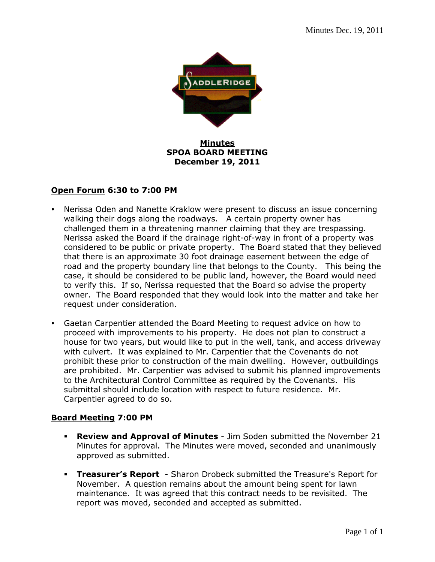

## **Minutes SPOA BOARD MEETING December 19, 2011**

## **Open Forum 6:30 to 7:00 PM**

- Nerissa Oden and Nanette Kraklow were present to discuss an issue concerning walking their dogs along the roadways. A certain property owner has challenged them in a threatening manner claiming that they are trespassing. Nerissa asked the Board if the drainage right-of-way in front of a property was considered to be public or private property. The Board stated that they believed that there is an approximate 30 foot drainage easement between the edge of road and the property boundary line that belongs to the County. This being the case, it should be considered to be public land, however, the Board would need to verify this. If so, Nerissa requested that the Board so advise the property owner. The Board responded that they would look into the matter and take her request under consideration.
- Gaetan Carpentier attended the Board Meeting to request advice on how to proceed with improvements to his property. He does not plan to construct a house for two years, but would like to put in the well, tank, and access driveway with culvert. It was explained to Mr. Carpentier that the Covenants do not prohibit these prior to construction of the main dwelling. However, outbuildings are prohibited. Mr. Carpentier was advised to submit his planned improvements to the Architectural Control Committee as required by the Covenants. His submittal should include location with respect to future residence. Mr. Carpentier agreed to do so.

## **Board Meeting 7:00 PM**

- **Review and Approval of Minutes**  Jim Soden submitted the November 21 Minutes for approval. The Minutes were moved, seconded and unanimously approved as submitted.
- **Treasurer's Report**  Sharon Drobeck submitted the Treasure's Report for November. A question remains about the amount being spent for lawn maintenance. It was agreed that this contract needs to be revisited. The report was moved, seconded and accepted as submitted.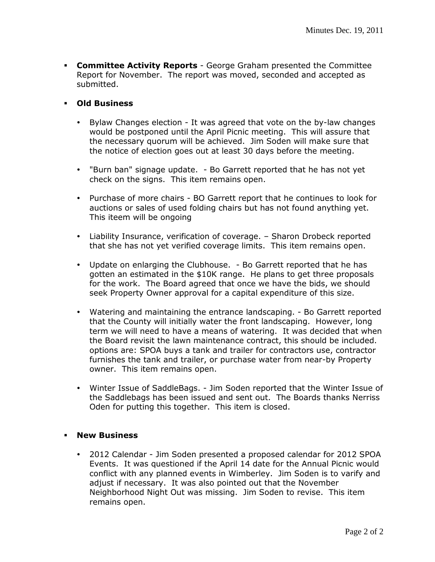- **Committee Activity Reports**  George Graham presented the Committee Report for November. The report was moved, seconded and accepted as submitted.
- **Old Business** 
	- Bylaw Changes election It was agreed that vote on the by-law changes would be postponed until the April Picnic meeting. This will assure that the necessary quorum will be achieved. Jim Soden will make sure that the notice of election goes out at least 30 days before the meeting.
	- "Burn ban" signage update. Bo Garrett reported that he has not yet check on the signs. This item remains open.
	- Purchase of more chairs BO Garrett report that he continues to look for auctions or sales of used folding chairs but has not found anything yet. This iteem will be ongoing
	- Liability Insurance, verification of coverage. Sharon Drobeck reported that she has not yet verified coverage limits. This item remains open.
	- Update on enlarging the Clubhouse. Bo Garrett reported that he has gotten an estimated in the \$10K range. He plans to get three proposals for the work. The Board agreed that once we have the bids, we should seek Property Owner approval for a capital expenditure of this size.
	- Watering and maintaining the entrance landscaping. Bo Garrett reported that the County will initially water the front landscaping. However, long term we will need to have a means of watering. It was decided that when the Board revisit the lawn maintenance contract, this should be included. options are: SPOA buys a tank and trailer for contractors use, contractor furnishes the tank and trailer, or purchase water from near-by Property owner. This item remains open.
	- Winter Issue of SaddleBags. Jim Soden reported that the Winter Issue of the Saddlebags has been issued and sent out. The Boards thanks Nerriss Oden for putting this together.This item is closed.

## **New Business**

 2012 Calendar - Jim Soden presented a proposed calendar for 2012 SPOA Events. It was questioned if the April 14 date for the Annual Picnic would conflict with any planned events in Wimberley. Jim Soden is to varify and adjust if necessary. It was also pointed out that the November Neighborhood Night Out was missing. Jim Soden to revise. This item remains open.